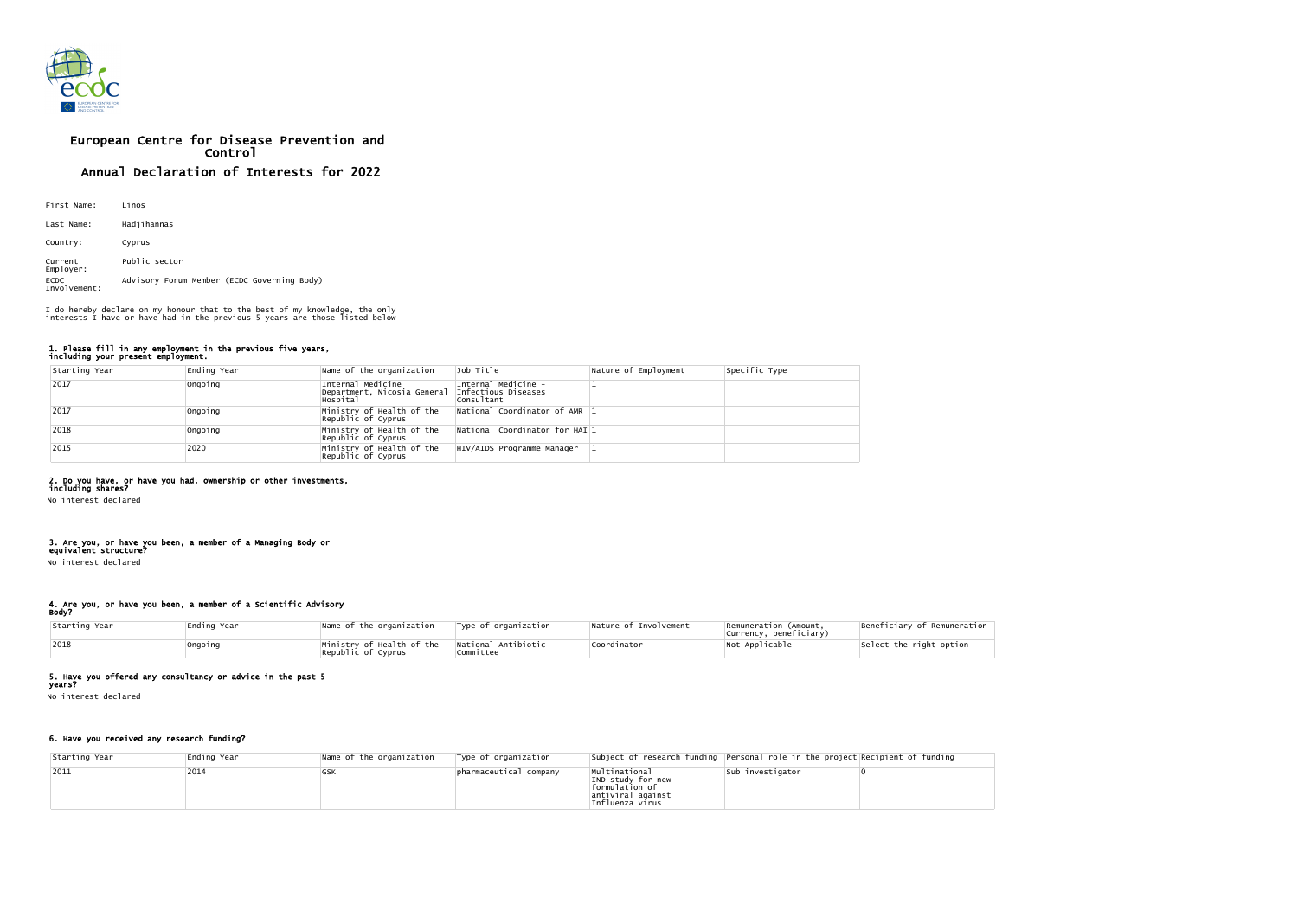

# European Centre for Disease Prevention and Control Annual Declaration of Interests for 2022

| First Name:                 | Linos                                       |
|-----------------------------|---------------------------------------------|
| Last Name:                  | Hadjihannas                                 |
| Country:                    | Cyprus                                      |
| Current<br>Employer:        | Public sector                               |
| <b>ECDC</b><br>Involvement: | Advisory Forum Member (ECDC Governing Body) |

#### 1. Please fill in any employment in the previous five years, including your present employment.

| Starting Year | Ending Year | Name of the organization                                     | Job Title                                                | Nature of Employment | Specific Type |
|---------------|-------------|--------------------------------------------------------------|----------------------------------------------------------|----------------------|---------------|
| 2017          | Ongoing     | Internal Medicine<br>Department, Nicosia General<br>Hospital | Internal Medicine -<br>Infectious Diseases<br>Consultant |                      |               |
| 2017          | Ongoing     | Ministry of Health of the<br>Republic of Cyprus              | National Coordinator of AMR 1                            |                      |               |
| 2018          | Ongoing     | Ministry of Health of the<br>Republic of Cyprus              | $\vert$ National Coordinator for HAI $\vert$ 1           |                      |               |
| 2015          | 2020        | Ministry of Health of the<br>Republic of Cyprus              | HIV/AIDS Programme Manager                               |                      |               |

# 2. Do you have, or have you had, ownership or other investments,

including shares?

No interest declared

#### 3. Are you, or have you been, a member of a Managing Body or equivalent structure?

No interest declared

#### 4. Are you, or have you been, a member of a Scientific Advisory Body?

| Starting Year | Ending Year | Name of the organization                                                   | Type of organization             | Nature of Involvement | Remuneration (Amount,<br>Currency, beneficiary) | Beneficiary of Remuneration |
|---------------|-------------|----------------------------------------------------------------------------|----------------------------------|-----------------------|-------------------------------------------------|-----------------------------|
| 2018          | !Ongoing    | $\blacksquare$ Ministry of Hea $\mathsf{lth}$ of the<br>Republic of Cyprus | National Antibiotic<br>Committee | Coordinator           | Not Applicable                                  | Select the right option     |

# 5. Have you offered any consultancy or advice in the past 5

years?

No interest declared

# 6. Have you received any research funding?

| Starting Year | Ending Year | Name of the organization | Type of organization   |                                                                                              | Subject of research funding Personal role in the project Recipient of funding |  |
|---------------|-------------|--------------------------|------------------------|----------------------------------------------------------------------------------------------|-------------------------------------------------------------------------------|--|
| $ 2011$       | 2014        | <b>GSK</b>               | pharmaceutical company | Multinational<br>IND study for new<br>formulation of<br>antiviral against<br>Influenza virus | sub investigator                                                              |  |

I do hereby declare on my honour that to the best of my knowledge, the only interests I have or have had in the previous 5 years are those listed below